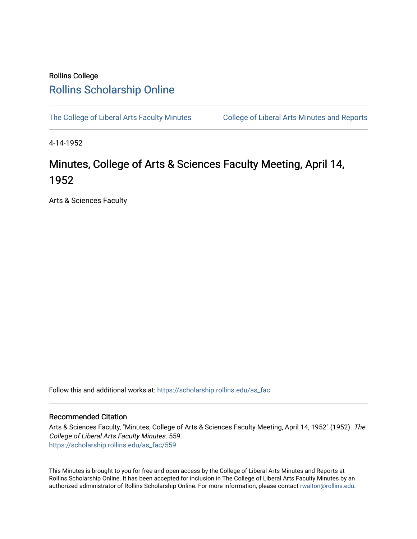## Rollins College [Rollins Scholarship Online](https://scholarship.rollins.edu/)

[The College of Liberal Arts Faculty Minutes](https://scholarship.rollins.edu/as_fac) College of Liberal Arts Minutes and Reports

4-14-1952

## Minutes, College of Arts & Sciences Faculty Meeting, April 14, 1952

Arts & Sciences Faculty

Follow this and additional works at: [https://scholarship.rollins.edu/as\\_fac](https://scholarship.rollins.edu/as_fac?utm_source=scholarship.rollins.edu%2Fas_fac%2F559&utm_medium=PDF&utm_campaign=PDFCoverPages) 

## Recommended Citation

Arts & Sciences Faculty, "Minutes, College of Arts & Sciences Faculty Meeting, April 14, 1952" (1952). The College of Liberal Arts Faculty Minutes. 559. [https://scholarship.rollins.edu/as\\_fac/559](https://scholarship.rollins.edu/as_fac/559?utm_source=scholarship.rollins.edu%2Fas_fac%2F559&utm_medium=PDF&utm_campaign=PDFCoverPages) 

This Minutes is brought to you for free and open access by the College of Liberal Arts Minutes and Reports at Rollins Scholarship Online. It has been accepted for inclusion in The College of Liberal Arts Faculty Minutes by an authorized administrator of Rollins Scholarship Online. For more information, please contact [rwalton@rollins.edu](mailto:rwalton@rollins.edu).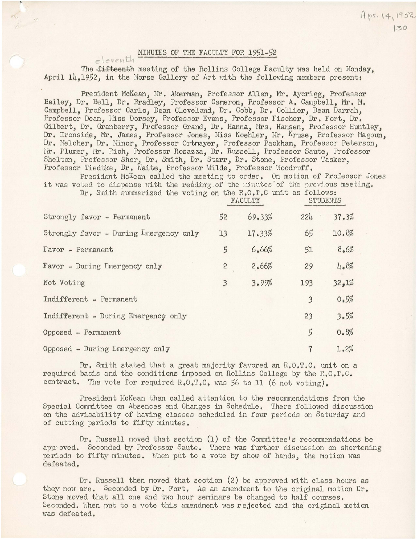## MINUTES OF THE FACULTY FOR 1951-52

eleventh

The fifteenth meeting of the Rollins College Faculty was held on Monday, April 14.1952, in the Morse Gallery of Art with the following members present:

President McKean, Mr. Akerman, Professor Allen, Mr. Aycrigg, Professor Bailey, Dr. Bell, Dr. Bradley, Professor Cameron, Professor A. Campbell, Mr. M. Campbell, Professor Carlo, Dean Cleveland, Dr. Cobb, Dr. Collier, Dean Darrah, Professor Dean, Hiss Dorsey, Professor Evans, Professor Fischer, Dr. Fort, Dr. Gilbert, Dr. Granberry, Professor Grand, Dr. Hanna, Mrs. Hansen, Professor Huntley, Dr. Ironside, Mr. James, Professor Jones, Miss Koehler, Mr. Kruse, Professor Magoun, Dr. Melcher, Dr. Minor, Professor Ortmayer, Professor Packham, Professor Peterson, Mr. Plumer, Mr. Rich, Professor Rosazza, Dr. Russell, Professor Saute, Professor Shelton, Professor Shor, Dr. Smith, Dr. Starr, Dr. Stone, Professor Tasker, Professor Tiedtke, Dr. Waite, Professor Wilde, Professor Woodruff.

President McKean called the meeting to order. On motion of Professor Jones it was voted to dispense with the reading of the minutes of the previous meeting.

Dr. Smith summarized the voting on the R.O.T.C unit as follows:

|                                        | FACULTY        |        | <b>STUDENTS</b> |       |
|----------------------------------------|----------------|--------|-----------------|-------|
| Strongly favor - Permanent             | 52             | 69.33% | 221.            | 37.3% |
| Strongly favor - During Emergency only | 13             | 17.33% | 65              | 10.8% |
| Favor - Permanent                      | 5              | 6.66%  | 51              | 8.6%  |
| Favor - During Emergency only          | $\overline{c}$ | 2.66%  | 29              | 4.8%  |
| Not Voting                             | 3              | 3.99%  | 193             | 32,1% |
| Indifferent - Permanent                |                |        | $\overline{3}$  | 0.5%  |
| Indifferent - During Emergency only    |                |        | 23              | 3.5%  |
| Opposed - Permanent                    |                |        | $\vec{5}$       | 0.8%  |
| $Ooposed$ - During Emergency only      |                |        | 7               | 1.2%  |

Dr. Smith stated that a great majority favored an R.O.T.C. unit on a required basis and the conditions imposed on Rollins College by the R.O.T.C. contract. The vote for required R.O.T.C. was 56 to 11 (6 not voting).

President McKean then called attention to the recommendations from the Special Committee on Absences and Changes in Schedule. There followed discussion on the advisability of having classes scheduled in four periods on Saturday and of cutting periods to fifty minutes.

Dr. Russell moved that section (1) of the Committee's recommendations be approved. Seconded by Professor Saute. There was further discussion on shortening periods to fifty minutes. When put to a vote by show of hands, the motion was defeated.

Dr. Russell then moved that section (2) be approved with class hours as they now are. Seconded by Dr. Fort. As an amendment to the original motion Dr. Stone moved that all one and two hour seminars be changed to half courses. Seconded. When put to a vote this amendment was rejected and the original motion was defeated.

130

Apr. 14, 1952